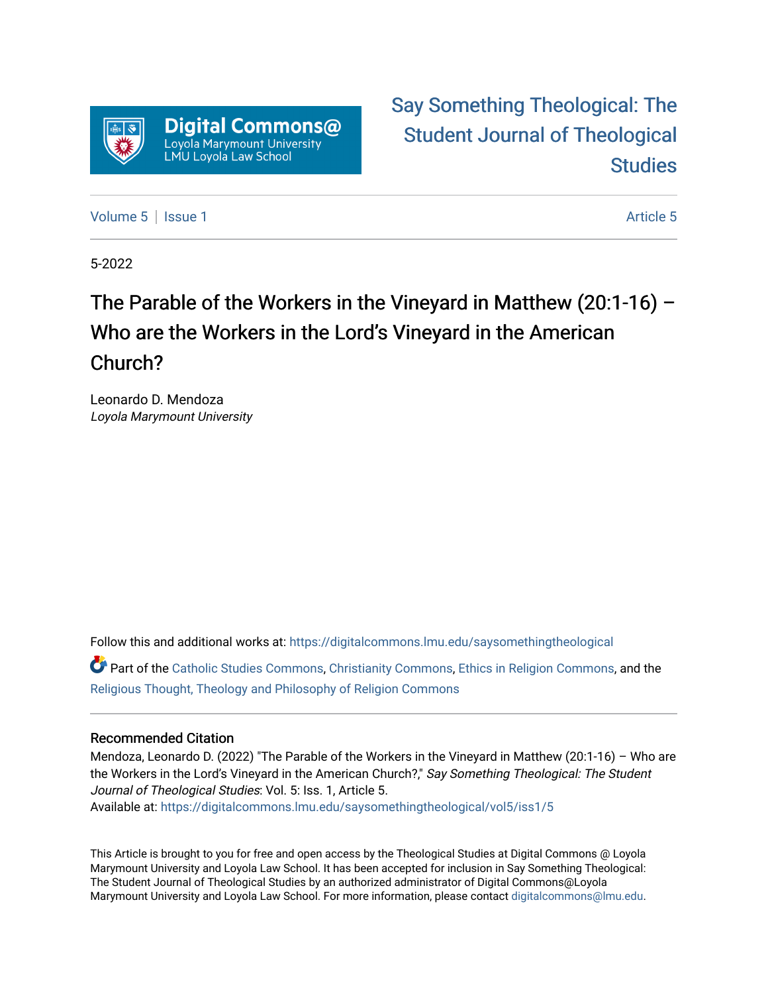

[Say Something Theological: The](https://digitalcommons.lmu.edu/saysomethingtheological)  [Student Journal of Theological](https://digitalcommons.lmu.edu/saysomethingtheological)  **Studies** 

[Volume 5](https://digitalcommons.lmu.edu/saysomethingtheological/vol5) | [Issue 1](https://digitalcommons.lmu.edu/saysomethingtheological/vol5/iss1) [Article 5](https://digitalcommons.lmu.edu/saysomethingtheological/vol5/iss1/5) | Article 5 Article 5 | Article 5 | Article 5 | Article 5 | Article 5 | Article 5

5-2022

## The Parable of the Workers in the Vineyard in Matthew (20:1-16) – Who are the Workers in the Lord's Vineyard in the American Church?

Leonardo D. Mendoza Loyola Marymount University

Follow this and additional works at: [https://digitalcommons.lmu.edu/saysomethingtheological](https://digitalcommons.lmu.edu/saysomethingtheological?utm_source=digitalcommons.lmu.edu%2Fsaysomethingtheological%2Fvol5%2Fiss1%2F5&utm_medium=PDF&utm_campaign=PDFCoverPages)

Part of the [Catholic Studies Commons](http://network.bepress.com/hgg/discipline/1294?utm_source=digitalcommons.lmu.edu%2Fsaysomethingtheological%2Fvol5%2Fiss1%2F5&utm_medium=PDF&utm_campaign=PDFCoverPages), [Christianity Commons](http://network.bepress.com/hgg/discipline/1181?utm_source=digitalcommons.lmu.edu%2Fsaysomethingtheological%2Fvol5%2Fiss1%2F5&utm_medium=PDF&utm_campaign=PDFCoverPages), [Ethics in Religion Commons,](http://network.bepress.com/hgg/discipline/541?utm_source=digitalcommons.lmu.edu%2Fsaysomethingtheological%2Fvol5%2Fiss1%2F5&utm_medium=PDF&utm_campaign=PDFCoverPages) and the [Religious Thought, Theology and Philosophy of Religion Commons](http://network.bepress.com/hgg/discipline/544?utm_source=digitalcommons.lmu.edu%2Fsaysomethingtheological%2Fvol5%2Fiss1%2F5&utm_medium=PDF&utm_campaign=PDFCoverPages) 

## Recommended Citation

Mendoza, Leonardo D. (2022) "The Parable of the Workers in the Vineyard in Matthew (20:1-16) – Who are the Workers in the Lord's Vineyard in the American Church?," Say Something Theological: The Student Journal of Theological Studies: Vol. 5: Iss. 1, Article 5. Available at: [https://digitalcommons.lmu.edu/saysomethingtheological/vol5/iss1/5](https://digitalcommons.lmu.edu/saysomethingtheological/vol5/iss1/5?utm_source=digitalcommons.lmu.edu%2Fsaysomethingtheological%2Fvol5%2Fiss1%2F5&utm_medium=PDF&utm_campaign=PDFCoverPages) 

This Article is brought to you for free and open access by the Theological Studies at Digital Commons @ Loyola Marymount University and Loyola Law School. It has been accepted for inclusion in Say Something Theological: The Student Journal of Theological Studies by an authorized administrator of Digital Commons@Loyola Marymount University and Loyola Law School. For more information, please contact [digitalcommons@lmu.edu](mailto:digitalcommons@lmu.edu).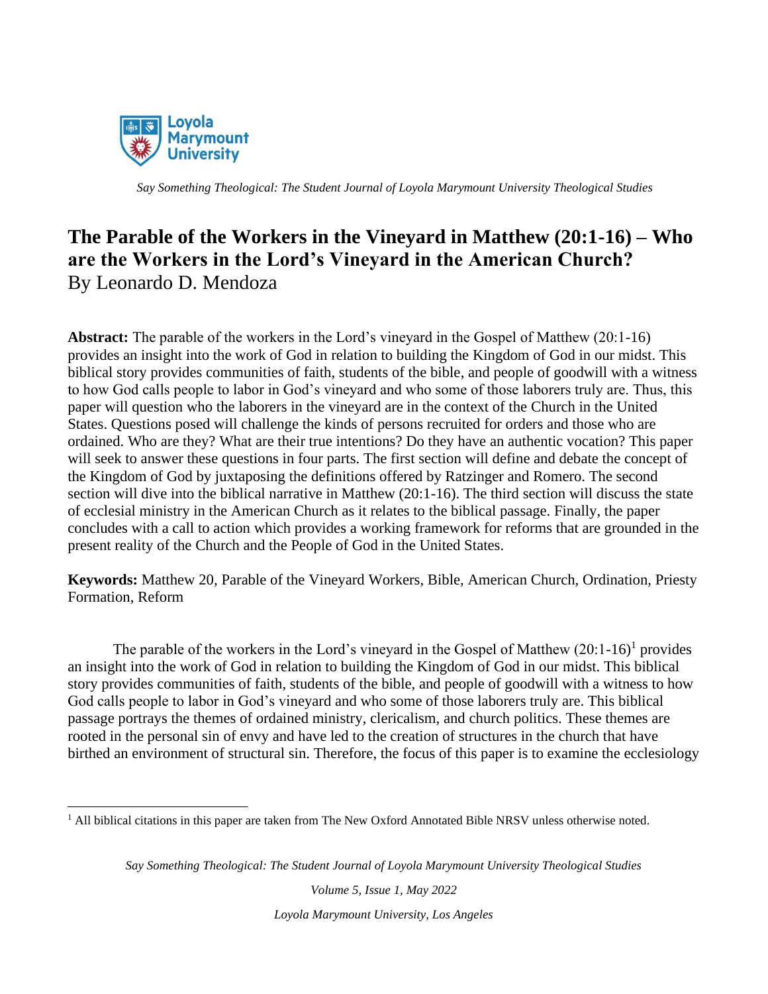

## **The Parable of the Workers in the Vineyard in Matthew (20:1-16) – Who are the Workers in the Lord's Vineyard in the American Church?** By Leonardo D. Mendoza

**Abstract:** The parable of the workers in the Lord's vineyard in the Gospel of Matthew (20:1-16) provides an insight into the work of God in relation to building the Kingdom of God in our midst. This biblical story provides communities of faith, students of the bible, and people of goodwill with a witness to how God calls people to labor in God's vineyard and who some of those laborers truly are. Thus, this paper will question who the laborers in the vineyard are in the context of the Church in the United States. Questions posed will challenge the kinds of persons recruited for orders and those who are ordained. Who are they? What are their true intentions? Do they have an authentic vocation? This paper will seek to answer these questions in four parts. The first section will define and debate the concept of the Kingdom of God by juxtaposing the definitions offered by Ratzinger and Romero. The second section will dive into the biblical narrative in Matthew (20:1-16). The third section will discuss the state of ecclesial ministry in the American Church as it relates to the biblical passage. Finally, the paper concludes with a call to action which provides a working framework for reforms that are grounded in the present reality of the Church and the People of God in the United States.

**Keywords:** Matthew 20, Parable of the Vineyard Workers, Bible, American Church, Ordination, Priesty Formation, Reform

The parable of the workers in the Lord's vineyard in the Gospel of Matthew  $(20:1-16)^1$  provides an insight into the work of God in relation to building the Kingdom of God in our midst. This biblical story provides communities of faith, students of the bible, and people of goodwill with a witness to how God calls people to labor in God's vineyard and who some of those laborers truly are. This biblical passage portrays the themes of ordained ministry, clericalism, and church politics. These themes are rooted in the personal sin of envy and have led to the creation of structures in the church that have birthed an environment of structural sin. Therefore, the focus of this paper is to examine the ecclesiology

*Say Something Theological: The Student Journal of Loyola Marymount University Theological Studies*

*Volume 5, Issue 1, May 2022 Loyola Marymount University, Los Angeles*

<sup>1</sup> All biblical citations in this paper are taken from The New Oxford Annotated Bible NRSV unless otherwise noted.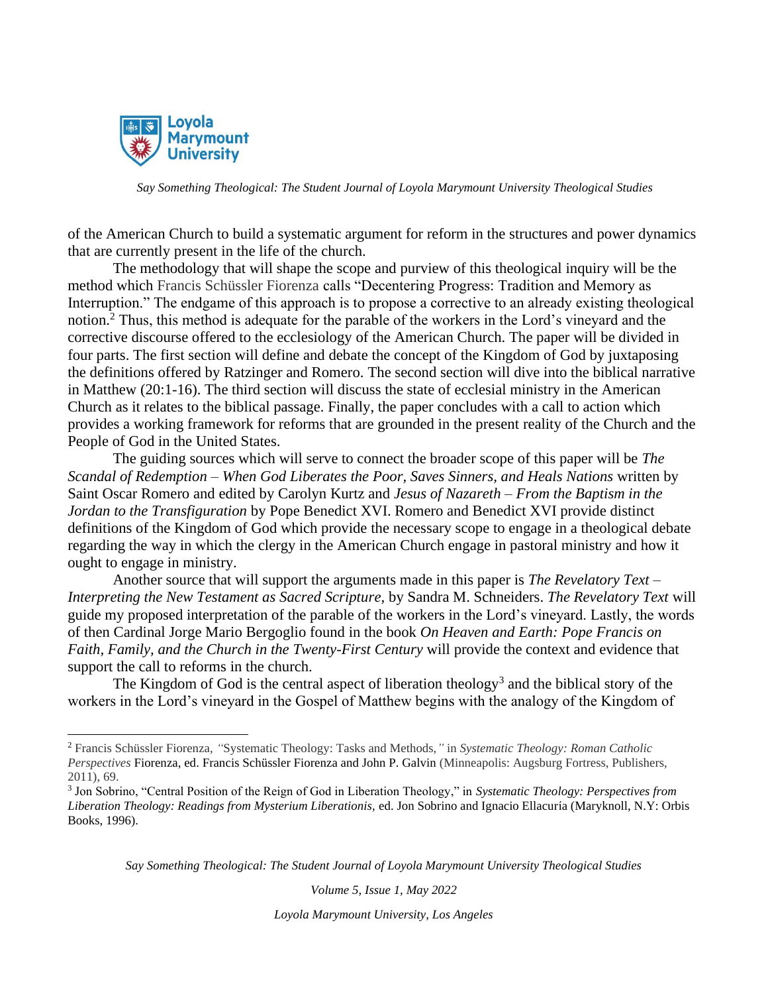

of the American Church to build a systematic argument for reform in the structures and power dynamics that are currently present in the life of the church.

The methodology that will shape the scope and purview of this theological inquiry will be the method which Francis Schüssler Fiorenza calls "Decentering Progress: Tradition and Memory as Interruption." The endgame of this approach is to propose a corrective to an already existing theological notion.<sup>2</sup> Thus, this method is adequate for the parable of the workers in the Lord's vineyard and the corrective discourse offered to the ecclesiology of the American Church. The paper will be divided in four parts. The first section will define and debate the concept of the Kingdom of God by juxtaposing the definitions offered by Ratzinger and Romero. The second section will dive into the biblical narrative in Matthew (20:1-16). The third section will discuss the state of ecclesial ministry in the American Church as it relates to the biblical passage. Finally, the paper concludes with a call to action which provides a working framework for reforms that are grounded in the present reality of the Church and the People of God in the United States.

The guiding sources which will serve to connect the broader scope of this paper will be *The Scandal of Redemption – When God Liberates the Poor, Saves Sinners, and Heals Nations* written by Saint Oscar Romero and edited by Carolyn Kurtz and *Jesus of Nazareth – From the Baptism in the Jordan to the Transfiguration* by Pope Benedict XVI. Romero and Benedict XVI provide distinct definitions of the Kingdom of God which provide the necessary scope to engage in a theological debate regarding the way in which the clergy in the American Church engage in pastoral ministry and how it ought to engage in ministry.

Another source that will support the arguments made in this paper is *The Revelatory Text – Interpreting the New Testament as Sacred Scripture,* by Sandra M. Schneiders. *The Revelatory Text* will guide my proposed interpretation of the parable of the workers in the Lord's vineyard. Lastly, the words of then Cardinal Jorge Mario Bergoglio found in the book *On Heaven and Earth: Pope Francis on Faith, Family, and the Church in the Twenty-First Century* will provide the context and evidence that support the call to reforms in the church.

The Kingdom of God is the central aspect of liberation theology<sup>3</sup> and the biblical story of the workers in the Lord's vineyard in the Gospel of Matthew begins with the analogy of the Kingdom of

*Say Something Theological: The Student Journal of Loyola Marymount University Theological Studies*

*Volume 5, Issue 1, May 2022*

<sup>2</sup> Francis Schüssler Fiorenza, *"*Systematic Theology: Tasks and Methods,*"* in *Systematic Theology: Roman Catholic Perspectives* Fiorenza, ed. Francis Schüssler Fiorenza and John P. Galvin (Minneapolis: Augsburg Fortress, Publishers, 2011), 69.

<sup>3</sup> Jon Sobrino, "Central Position of the Reign of God in Liberation Theology," in *Systematic Theology: Perspectives from Liberation Theology: Readings from Mysterium Liberationis,* ed. Jon Sobrino and Ignacio Ellacuría (Maryknoll, N.Y: Orbis Books, 1996).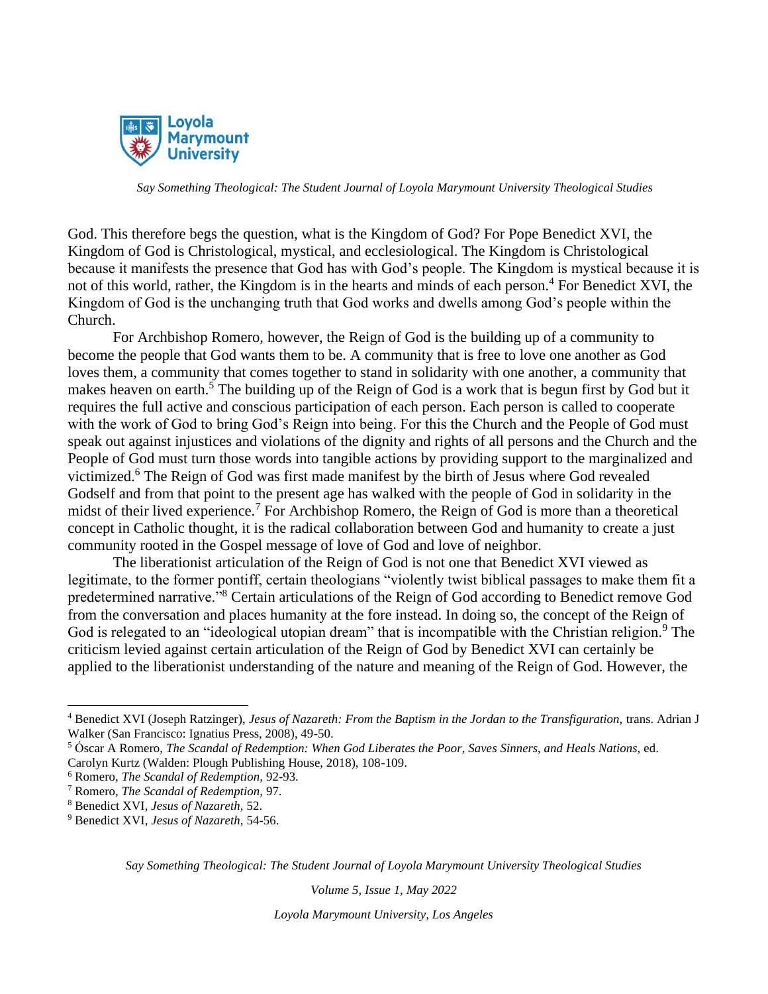

God. This therefore begs the question, what is the Kingdom of God? For Pope Benedict XVI, the Kingdom of God is Christological, mystical, and ecclesiological. The Kingdom is Christological because it manifests the presence that God has with God's people. The Kingdom is mystical because it is not of this world, rather, the Kingdom is in the hearts and minds of each person.<sup>4</sup> For Benedict XVI, the Kingdom of God is the unchanging truth that God works and dwells among God's people within the Church.

For Archbishop Romero, however, the Reign of God is the building up of a community to become the people that God wants them to be. A community that is free to love one another as God loves them, a community that comes together to stand in solidarity with one another, a community that makes heaven on earth.<sup>5</sup> The building up of the Reign of God is a work that is begun first by God but it requires the full active and conscious participation of each person. Each person is called to cooperate with the work of God to bring God's Reign into being. For this the Church and the People of God must speak out against injustices and violations of the dignity and rights of all persons and the Church and the People of God must turn those words into tangible actions by providing support to the marginalized and victimized.<sup>6</sup> The Reign of God was first made manifest by the birth of Jesus where God revealed Godself and from that point to the present age has walked with the people of God in solidarity in the midst of their lived experience.<sup>7</sup> For Archbishop Romero, the Reign of God is more than a theoretical concept in Catholic thought, it is the radical collaboration between God and humanity to create a just community rooted in the Gospel message of love of God and love of neighbor.

The liberationist articulation of the Reign of God is not one that Benedict XVI viewed as legitimate, to the former pontiff, certain theologians "violently twist biblical passages to make them fit a predetermined narrative."<sup>8</sup> Certain articulations of the Reign of God according to Benedict remove God from the conversation and places humanity at the fore instead. In doing so, the concept of the Reign of God is relegated to an "ideological utopian dream" that is incompatible with the Christian religion.<sup>9</sup> The criticism levied against certain articulation of the Reign of God by Benedict XVI can certainly be applied to the liberationist understanding of the nature and meaning of the Reign of God. However, the

*Say Something Theological: The Student Journal of Loyola Marymount University Theological Studies*

*Volume 5, Issue 1, May 2022*

<sup>&</sup>lt;sup>4</sup> Benedict XVI (Joseph Ratzinger), *Jesus of Nazareth: From the Baptism in the Jordan to the Transfiguration*, trans. Adrian J Walker (San Francisco: Ignatius Press, 2008), 49-50.

<sup>5</sup> Óscar A Romero, *The Scandal of Redemption: When God Liberates the Poor, Saves Sinners, and Heals Nations,* ed. Carolyn Kurtz (Walden: Plough Publishing House, 2018), 108-109.

<sup>6</sup> Romero, *The Scandal of Redemption,* 92-93.

<sup>7</sup> Romero, *The Scandal of Redemption,* 97.

<sup>8</sup> Benedict XVI, *Jesus of Nazareth,* 52.

<sup>9</sup> Benedict XVI, *Jesus of Nazareth,* 54-56.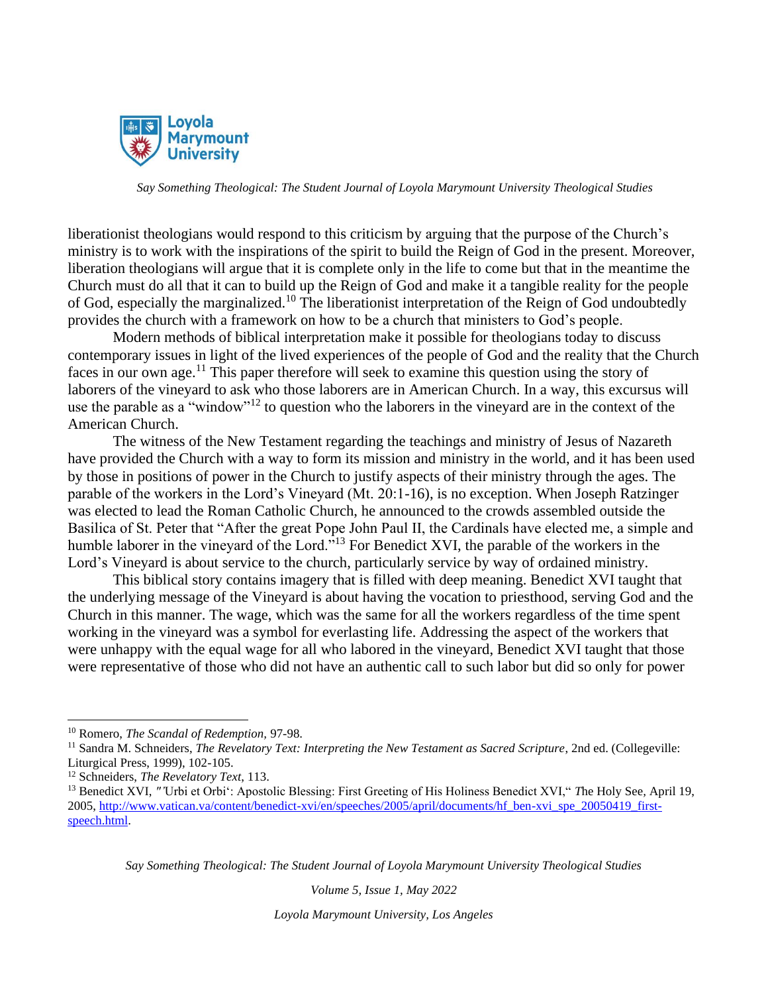

liberationist theologians would respond to this criticism by arguing that the purpose of the Church's ministry is to work with the inspirations of the spirit to build the Reign of God in the present. Moreover, liberation theologians will argue that it is complete only in the life to come but that in the meantime the Church must do all that it can to build up the Reign of God and make it a tangible reality for the people of God, especially the marginalized.<sup>10</sup> The liberationist interpretation of the Reign of God undoubtedly provides the church with a framework on how to be a church that ministers to God's people.

Modern methods of biblical interpretation make it possible for theologians today to discuss contemporary issues in light of the lived experiences of the people of God and the reality that the Church faces in our own age.<sup>11</sup> This paper therefore will seek to examine this question using the story of laborers of the vineyard to ask who those laborers are in American Church. In a way, this excursus will use the parable as a "window"<sup>12</sup> to question who the laborers in the vineyard are in the context of the American Church.

The witness of the New Testament regarding the teachings and ministry of Jesus of Nazareth have provided the Church with a way to form its mission and ministry in the world, and it has been used by those in positions of power in the Church to justify aspects of their ministry through the ages. The parable of the workers in the Lord's Vineyard (Mt. 20:1-16), is no exception. When Joseph Ratzinger was elected to lead the Roman Catholic Church, he announced to the crowds assembled outside the Basilica of St. Peter that "After the great Pope John Paul II, the Cardinals have elected me, a simple and humble laborer in the vineyard of the Lord."<sup>13</sup> For Benedict XVI, the parable of the workers in the Lord's Vineyard is about service to the church, particularly service by way of ordained ministry.

This biblical story contains imagery that is filled with deep meaning. Benedict XVI taught that the underlying message of the Vineyard is about having the vocation to priesthood, serving God and the Church in this manner. The wage, which was the same for all the workers regardless of the time spent working in the vineyard was a symbol for everlasting life. Addressing the aspect of the workers that were unhappy with the equal wage for all who labored in the vineyard, Benedict XVI taught that those were representative of those who did not have an authentic call to such labor but did so only for power

*Say Something Theological: The Student Journal of Loyola Marymount University Theological Studies*

*Volume 5, Issue 1, May 2022*

<sup>10</sup> Romero, *The Scandal of Redemption,* 97-98.

<sup>&</sup>lt;sup>11</sup> Sandra M. Schneiders, *The Revelatory Text: Interpreting the New Testament as Sacred Scripture*, 2nd ed. (Collegeville: Liturgical Press, 1999), 102-105.

<sup>12</sup> Schneiders, *The Revelatory Text*, 113.

<sup>13</sup> Benedict XVI, *"'*Urbi et Orbi': Apostolic Blessing: First Greeting of His Holiness Benedict XVI," *T*he Holy See*,* April 19, 2005, [http://www.vatican.va/content/benedict-xvi/en/speeches/2005/april/documents/hf\\_ben-xvi\\_spe\\_20050419\\_first](http://www.vatican.va/content/benedict-xvi/en/speeches/2005/april/documents/hf_ben-xvi_spe_20050419_first-speech.html)[speech.html.](http://www.vatican.va/content/benedict-xvi/en/speeches/2005/april/documents/hf_ben-xvi_spe_20050419_first-speech.html)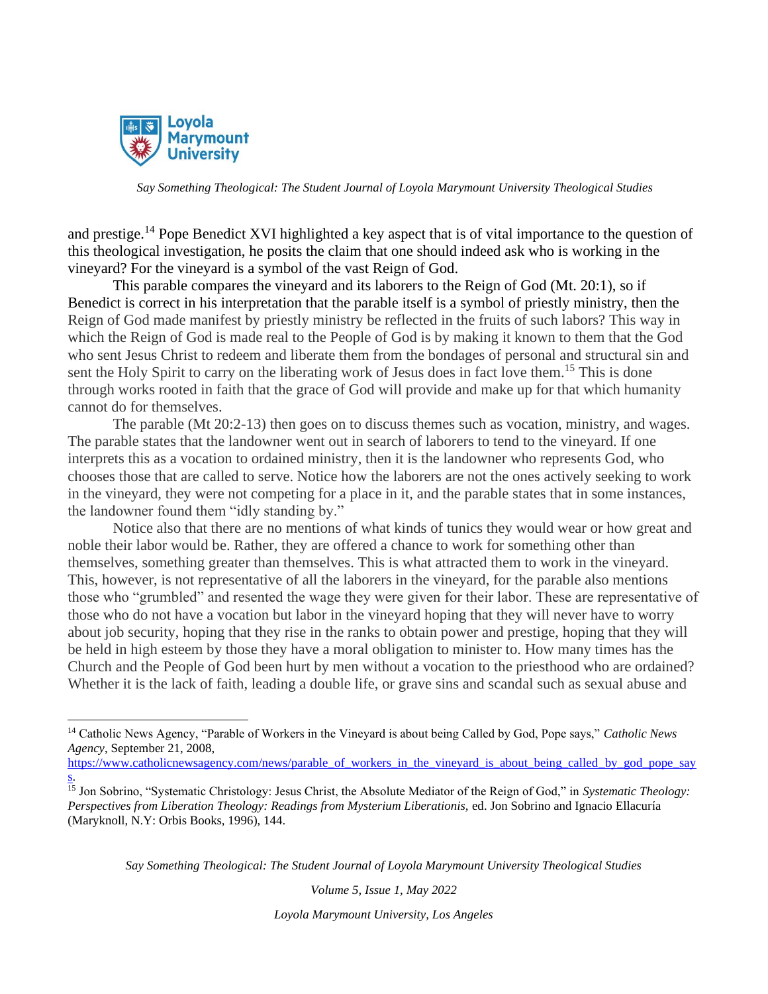

and prestige.<sup>14</sup> Pope Benedict XVI highlighted a key aspect that is of vital importance to the question of this theological investigation, he posits the claim that one should indeed ask who is working in the vineyard? For the vineyard is a symbol of the vast Reign of God.

This parable compares the vineyard and its laborers to the Reign of God (Mt. 20:1), so if Benedict is correct in his interpretation that the parable itself is a symbol of priestly ministry, then the Reign of God made manifest by priestly ministry be reflected in the fruits of such labors? This way in which the Reign of God is made real to the People of God is by making it known to them that the God who sent Jesus Christ to redeem and liberate them from the bondages of personal and structural sin and sent the Holy Spirit to carry on the liberating work of Jesus does in fact love them.<sup>15</sup> This is done through works rooted in faith that the grace of God will provide and make up for that which humanity cannot do for themselves.

The parable (Mt 20:2-13) then goes on to discuss themes such as vocation, ministry, and wages. The parable states that the landowner went out in search of laborers to tend to the vineyard. If one interprets this as a vocation to ordained ministry, then it is the landowner who represents God, who chooses those that are called to serve. Notice how the laborers are not the ones actively seeking to work in the vineyard, they were not competing for a place in it, and the parable states that in some instances, the landowner found them "idly standing by."

Notice also that there are no mentions of what kinds of tunics they would wear or how great and noble their labor would be. Rather, they are offered a chance to work for something other than themselves, something greater than themselves. This is what attracted them to work in the vineyard. This, however, is not representative of all the laborers in the vineyard, for the parable also mentions those who "grumbled" and resented the wage they were given for their labor. These are representative of those who do not have a vocation but labor in the vineyard hoping that they will never have to worry about job security, hoping that they rise in the ranks to obtain power and prestige, hoping that they will be held in high esteem by those they have a moral obligation to minister to. How many times has the Church and the People of God been hurt by men without a vocation to the priesthood who are ordained? Whether it is the lack of faith, leading a double life, or grave sins and scandal such as sexual abuse and

[https://www.catholicnewsagency.com/news/parable\\_of\\_workers\\_in\\_the\\_vineyard\\_is\\_about\\_being\\_called\\_by\\_god\\_pope\\_say](https://www.catholicnewsagency.com/news/parable_of_workers_in_the_vineyard_is_about_being_called_by_god_pope_says) [s.](https://www.catholicnewsagency.com/news/parable_of_workers_in_the_vineyard_is_about_being_called_by_god_pope_says)

*Say Something Theological: The Student Journal of Loyola Marymount University Theological Studies*

*Volume 5, Issue 1, May 2022*

<sup>14</sup> Catholic News Agency, "Parable of Workers in the Vineyard is about being Called by God, Pope says," *Catholic News Agency*, September 21, 2008,

<sup>15</sup> Jon Sobrino, "Systematic Christology: Jesus Christ, the Absolute Mediator of the Reign of God," in *Systematic Theology: Perspectives from Liberation Theology: Readings from Mysterium Liberationis,* ed. Jon Sobrino and Ignacio Ellacuría (Maryknoll, N.Y: Orbis Books, 1996), 144.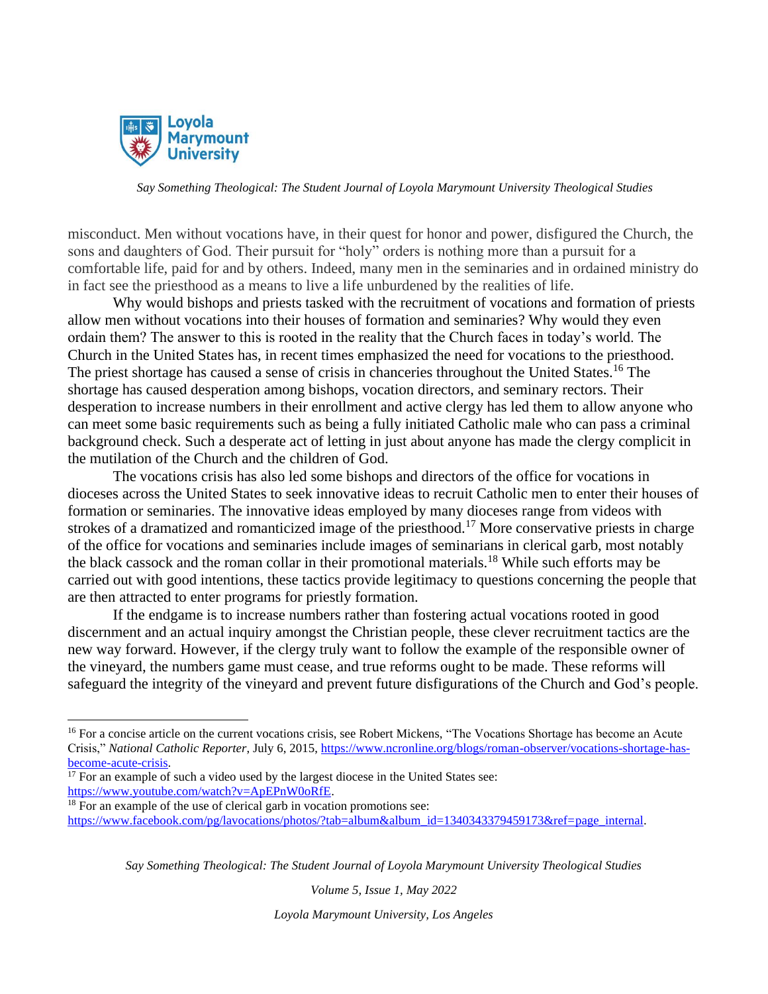

misconduct. Men without vocations have, in their quest for honor and power, disfigured the Church, the sons and daughters of God. Their pursuit for "holy" orders is nothing more than a pursuit for a comfortable life, paid for and by others. Indeed, many men in the seminaries and in ordained ministry do in fact see the priesthood as a means to live a life unburdened by the realities of life.

Why would bishops and priests tasked with the recruitment of vocations and formation of priests allow men without vocations into their houses of formation and seminaries? Why would they even ordain them? The answer to this is rooted in the reality that the Church faces in today's world. The Church in the United States has, in recent times emphasized the need for vocations to the priesthood. The priest shortage has caused a sense of crisis in chanceries throughout the United States.<sup>16</sup> The shortage has caused desperation among bishops, vocation directors, and seminary rectors. Their desperation to increase numbers in their enrollment and active clergy has led them to allow anyone who can meet some basic requirements such as being a fully initiated Catholic male who can pass a criminal background check. Such a desperate act of letting in just about anyone has made the clergy complicit in the mutilation of the Church and the children of God.

The vocations crisis has also led some bishops and directors of the office for vocations in dioceses across the United States to seek innovative ideas to recruit Catholic men to enter their houses of formation or seminaries. The innovative ideas employed by many dioceses range from videos with strokes of a dramatized and romanticized image of the priesthood.<sup>17</sup> More conservative priests in charge of the office for vocations and seminaries include images of seminarians in clerical garb, most notably the black cassock and the roman collar in their promotional materials.<sup>18</sup> While such efforts may be carried out with good intentions, these tactics provide legitimacy to questions concerning the people that are then attracted to enter programs for priestly formation.

If the endgame is to increase numbers rather than fostering actual vocations rooted in good discernment and an actual inquiry amongst the Christian people, these clever recruitment tactics are the new way forward. However, if the clergy truly want to follow the example of the responsible owner of the vineyard, the numbers game must cease, and true reforms ought to be made. These reforms will safeguard the integrity of the vineyard and prevent future disfigurations of the Church and God's people.

*Say Something Theological: The Student Journal of Loyola Marymount University Theological Studies*

*Volume 5, Issue 1, May 2022*

<sup>&</sup>lt;sup>16</sup> For a concise article on the current vocations crisis, see Robert Mickens, "The Vocations Shortage has become an Acute Crisis," *National Catholic Reporter*, July 6, 2015, [https://www.ncronline.org/blogs/roman-observer/vocations-shortage-has](https://www.ncronline.org/blogs/roman-observer/vocations-shortage-has-become-acute-crisis)[become-acute-crisis.](https://www.ncronline.org/blogs/roman-observer/vocations-shortage-has-become-acute-crisis)

 $17$  For an example of such a video used by the largest diocese in the United States see: [https://www.youtube.com/watch?v=ApEPnW0oRfE.](https://www.youtube.com/watch?v=ApEPnW0oRfE)

<sup>&</sup>lt;sup>18</sup> For an example of the use of clerical garb in vocation promotions see: [https://www.facebook.com/pg/lavocations/photos/?tab=album&album\\_id=1340343379459173&ref=page\\_internal.](https://www.facebook.com/pg/lavocations/photos/?tab=album&album_id=1340343379459173&ref=page_internal)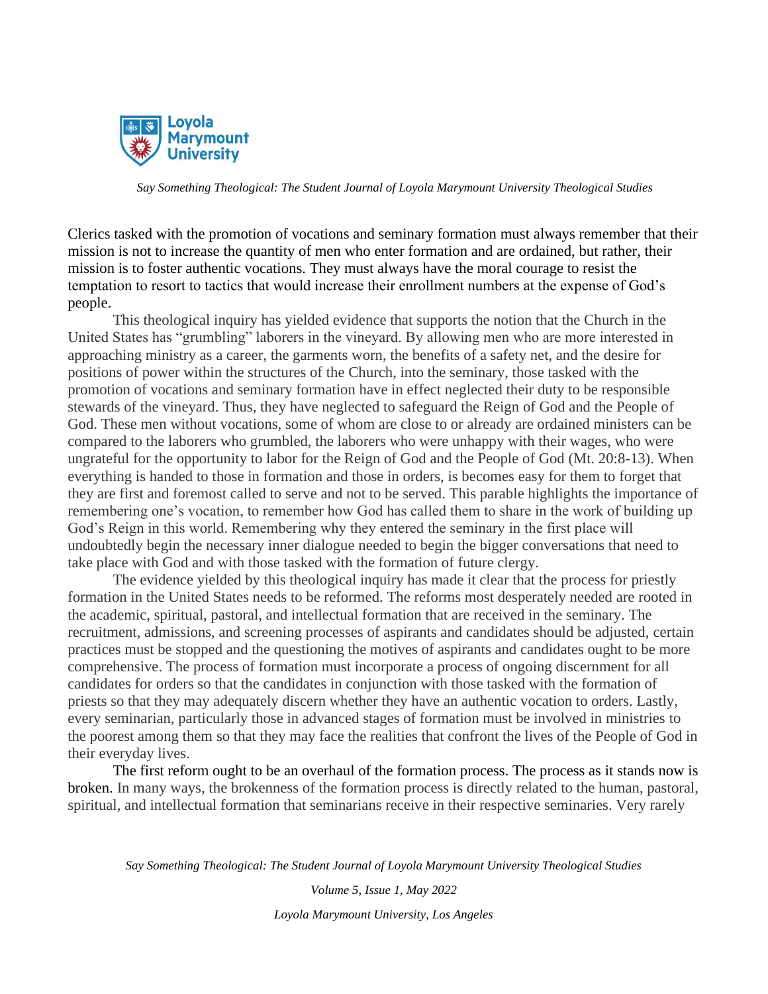

Clerics tasked with the promotion of vocations and seminary formation must always remember that their mission is not to increase the quantity of men who enter formation and are ordained, but rather, their mission is to foster authentic vocations. They must always have the moral courage to resist the temptation to resort to tactics that would increase their enrollment numbers at the expense of God's people.

This theological inquiry has yielded evidence that supports the notion that the Church in the United States has "grumbling" laborers in the vineyard. By allowing men who are more interested in approaching ministry as a career, the garments worn, the benefits of a safety net, and the desire for positions of power within the structures of the Church, into the seminary, those tasked with the promotion of vocations and seminary formation have in effect neglected their duty to be responsible stewards of the vineyard. Thus, they have neglected to safeguard the Reign of God and the People of God. These men without vocations, some of whom are close to or already are ordained ministers can be compared to the laborers who grumbled, the laborers who were unhappy with their wages, who were ungrateful for the opportunity to labor for the Reign of God and the People of God (Mt. 20:8-13). When everything is handed to those in formation and those in orders, is becomes easy for them to forget that they are first and foremost called to serve and not to be served. This parable highlights the importance of remembering one's vocation, to remember how God has called them to share in the work of building up God's Reign in this world. Remembering why they entered the seminary in the first place will undoubtedly begin the necessary inner dialogue needed to begin the bigger conversations that need to take place with God and with those tasked with the formation of future clergy.

The evidence yielded by this theological inquiry has made it clear that the process for priestly formation in the United States needs to be reformed. The reforms most desperately needed are rooted in the academic, spiritual, pastoral, and intellectual formation that are received in the seminary. The recruitment, admissions, and screening processes of aspirants and candidates should be adjusted, certain practices must be stopped and the questioning the motives of aspirants and candidates ought to be more comprehensive. The process of formation must incorporate a process of ongoing discernment for all candidates for orders so that the candidates in conjunction with those tasked with the formation of priests so that they may adequately discern whether they have an authentic vocation to orders. Lastly, every seminarian, particularly those in advanced stages of formation must be involved in ministries to the poorest among them so that they may face the realities that confront the lives of the People of God in their everyday lives.

The first reform ought to be an overhaul of the formation process. The process as it stands now is broken. In many ways, the brokenness of the formation process is directly related to the human, pastoral, spiritual, and intellectual formation that seminarians receive in their respective seminaries. Very rarely

*Say Something Theological: The Student Journal of Loyola Marymount University Theological Studies*

*Volume 5, Issue 1, May 2022 Loyola Marymount University, Los Angeles*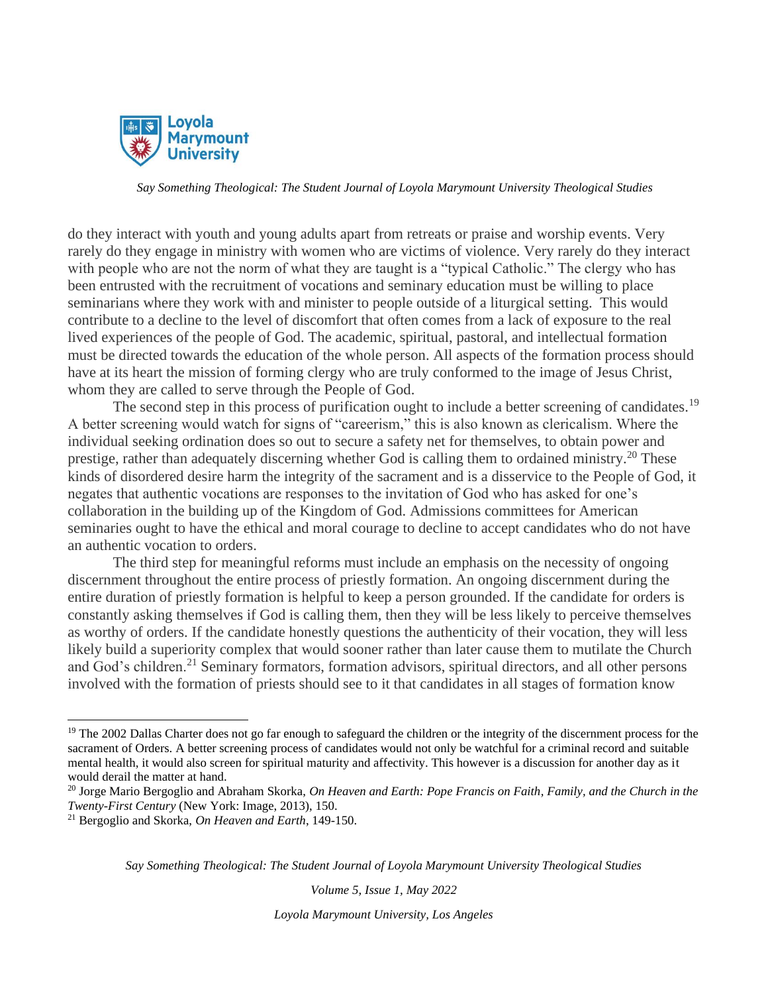

do they interact with youth and young adults apart from retreats or praise and worship events. Very rarely do they engage in ministry with women who are victims of violence. Very rarely do they interact with people who are not the norm of what they are taught is a "typical Catholic." The clergy who has been entrusted with the recruitment of vocations and seminary education must be willing to place seminarians where they work with and minister to people outside of a liturgical setting. This would contribute to a decline to the level of discomfort that often comes from a lack of exposure to the real lived experiences of the people of God. The academic, spiritual, pastoral, and intellectual formation must be directed towards the education of the whole person. All aspects of the formation process should have at its heart the mission of forming clergy who are truly conformed to the image of Jesus Christ, whom they are called to serve through the People of God.

The second step in this process of purification ought to include a better screening of candidates.<sup>19</sup> A better screening would watch for signs of "careerism," this is also known as clericalism. Where the individual seeking ordination does so out to secure a safety net for themselves, to obtain power and prestige, rather than adequately discerning whether God is calling them to ordained ministry.<sup>20</sup> These kinds of disordered desire harm the integrity of the sacrament and is a disservice to the People of God, it negates that authentic vocations are responses to the invitation of God who has asked for one's collaboration in the building up of the Kingdom of God. Admissions committees for American seminaries ought to have the ethical and moral courage to decline to accept candidates who do not have an authentic vocation to orders.

The third step for meaningful reforms must include an emphasis on the necessity of ongoing discernment throughout the entire process of priestly formation. An ongoing discernment during the entire duration of priestly formation is helpful to keep a person grounded. If the candidate for orders is constantly asking themselves if God is calling them, then they will be less likely to perceive themselves as worthy of orders. If the candidate honestly questions the authenticity of their vocation, they will less likely build a superiority complex that would sooner rather than later cause them to mutilate the Church and God's children.<sup>21</sup> Seminary formators, formation advisors, spiritual directors, and all other persons involved with the formation of priests should see to it that candidates in all stages of formation know

*Say Something Theological: The Student Journal of Loyola Marymount University Theological Studies*

*Volume 5, Issue 1, May 2022*

<sup>&</sup>lt;sup>19</sup> The 2002 Dallas Charter does not go far enough to safeguard the children or the integrity of the discernment process for the sacrament of Orders. A better screening process of candidates would not only be watchful for a criminal record and suitable mental health, it would also screen for spiritual maturity and affectivity. This however is a discussion for another day as it would derail the matter at hand.

<sup>20</sup> Jorge Mario Bergoglio and Abraham Skorka, *On Heaven and Earth: Pope Francis on Faith, Family, and the Church in the Twenty-First Century* (New York: Image, 2013), 150.

<sup>21</sup> Bergoglio and Skorka, *On Heaven and Earth*, 149-150.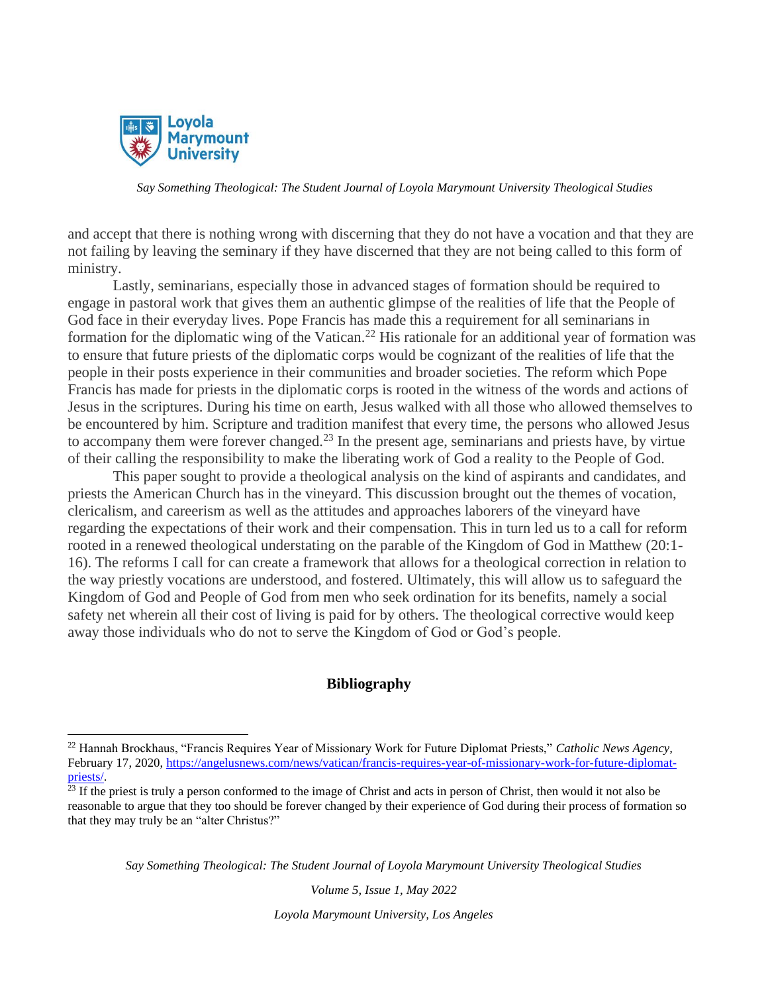

and accept that there is nothing wrong with discerning that they do not have a vocation and that they are not failing by leaving the seminary if they have discerned that they are not being called to this form of ministry.

Lastly, seminarians, especially those in advanced stages of formation should be required to engage in pastoral work that gives them an authentic glimpse of the realities of life that the People of God face in their everyday lives. Pope Francis has made this a requirement for all seminarians in formation for the diplomatic wing of the Vatican.<sup>22</sup> His rationale for an additional year of formation was to ensure that future priests of the diplomatic corps would be cognizant of the realities of life that the people in their posts experience in their communities and broader societies. The reform which Pope Francis has made for priests in the diplomatic corps is rooted in the witness of the words and actions of Jesus in the scriptures. During his time on earth, Jesus walked with all those who allowed themselves to be encountered by him. Scripture and tradition manifest that every time, the persons who allowed Jesus to accompany them were forever changed.<sup>23</sup> In the present age, seminarians and priests have, by virtue of their calling the responsibility to make the liberating work of God a reality to the People of God.

This paper sought to provide a theological analysis on the kind of aspirants and candidates, and priests the American Church has in the vineyard. This discussion brought out the themes of vocation, clericalism, and careerism as well as the attitudes and approaches laborers of the vineyard have regarding the expectations of their work and their compensation. This in turn led us to a call for reform rooted in a renewed theological understating on the parable of the Kingdom of God in Matthew (20:1- 16). The reforms I call for can create a framework that allows for a theological correction in relation to the way priestly vocations are understood, and fostered. Ultimately, this will allow us to safeguard the Kingdom of God and People of God from men who seek ordination for its benefits, namely a social safety net wherein all their cost of living is paid for by others. The theological corrective would keep away those individuals who do not to serve the Kingdom of God or God's people.

## **Bibliography**

*Say Something Theological: The Student Journal of Loyola Marymount University Theological Studies*

*Volume 5, Issue 1, May 2022*

<sup>22</sup> Hannah Brockhaus, "Francis Requires Year of Missionary Work for Future Diplomat Priests," *Catholic News Agency,* February 17, 2020[, https://angelusnews.com/news/vatican/francis-requires-year-of-missionary-work-for-future-diplomat](https://angelusnews.com/news/vatican/francis-requires-year-of-missionary-work-for-future-diplomat-priests/)[priests/.](https://angelusnews.com/news/vatican/francis-requires-year-of-missionary-work-for-future-diplomat-priests/)

 $23$  If the priest is truly a person conformed to the image of Christ and acts in person of Christ, then would it not also be reasonable to argue that they too should be forever changed by their experience of God during their process of formation so that they may truly be an "alter Christus?"